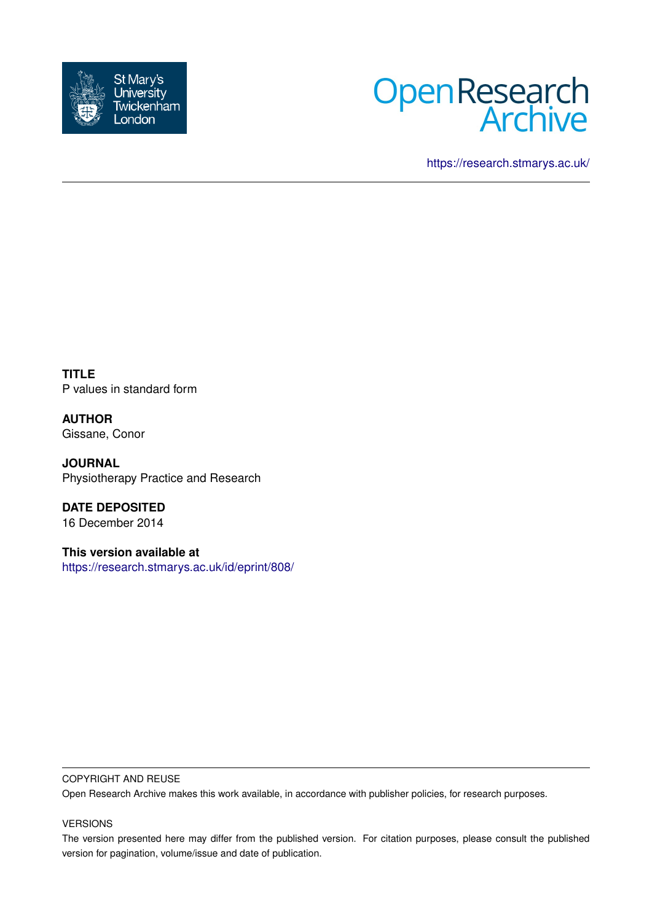



<https://research.stmarys.ac.uk/>

**TITLE** P values in standard form

**AUTHOR** Gissane, Conor

**JOURNAL** Physiotherapy Practice and Research

**DATE DEPOSITED** 16 December 2014

**This version available at** <https://research.stmarys.ac.uk/id/eprint/808/>

#### COPYRIGHT AND REUSE

Open Research Archive makes this work available, in accordance with publisher policies, for research purposes.

### VERSIONS

The version presented here may differ from the published version. For citation purposes, please consult the published version for pagination, volume/issue and date of publication.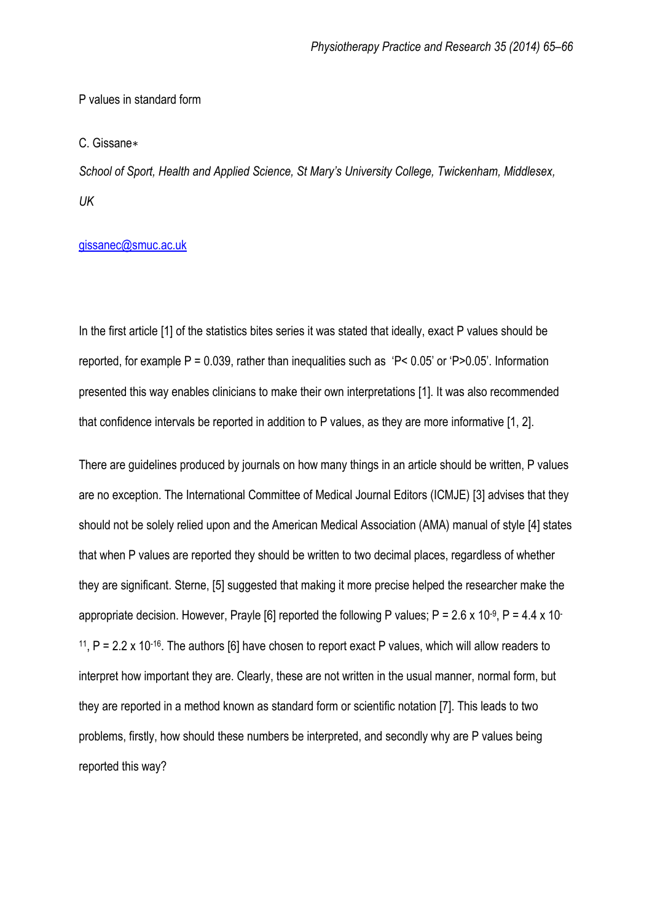## P values in standard form

#### C. Gissane∗

*School of Sport, Health and Applied Science, St Mary's University College, Twickenham, Middlesex, UK*

### [gissanec@smuc.ac.uk](mailto:gissanec@smuc.ac.uk)

In the first article [1] of the statistics bites series it was stated that ideally, exact P values should be reported, for example  $P = 0.039$ , rather than inequalities such as 'P<  $0.05$ ' or 'P> $0.05$ '. Information presented this way enables clinicians to make their own interpretations [1]. It was also recommended that confidence intervals be reported in addition to P values, as they are more informative [1, 2].

There are guidelines produced by journals on how many things in an article should be written, P values are no exception. The International Committee of Medical Journal Editors (ICMJE) [3] advises that they should not be solely relied upon and the American Medical Association (AMA) manual of style [4] states that when P values are reported they should be written to two decimal places, regardless of whether they are significant. Sterne, [5] suggested that making it more precise helped the researcher make the appropriate decision. However, Prayle [6] reported the following P values; P = 2.6 x 10 $\cdot$ 9, P = 4.4 x 10 $\cdot$ <sup>11</sup>, P = 2.2 x 10<sup>-16</sup>. The authors [6] have chosen to report exact P values, which will allow readers to interpret how important they are. Clearly, these are not written in the usual manner, normal form, but they are reported in a method known as standard form or scientific notation [7]. This leads to two problems, firstly, how should these numbers be interpreted, and secondly why are P values being reported this way?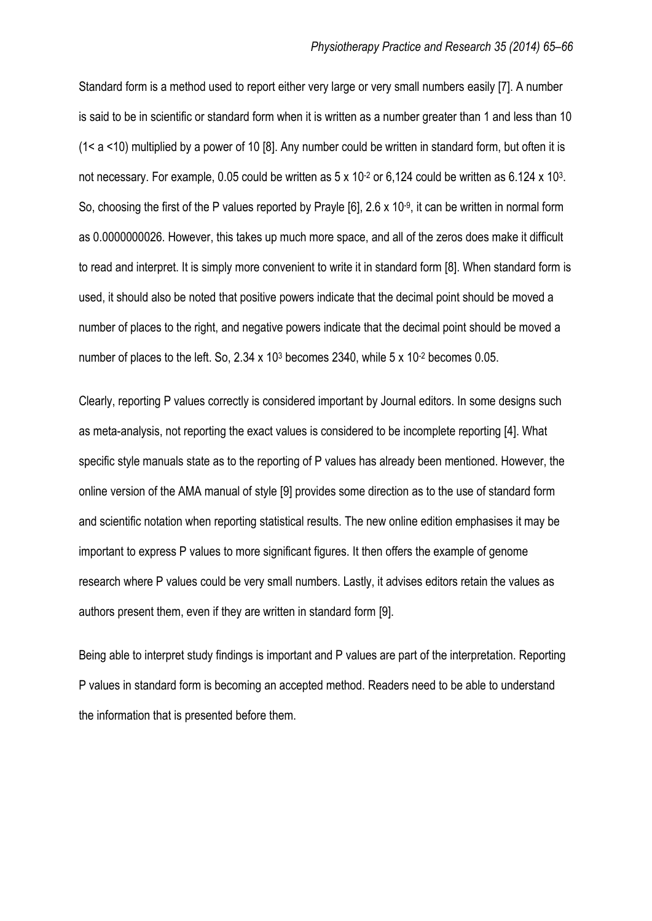Standard form is a method used to report either very large or very small numbers easily [7]. A number is said to be in scientific or standard form when it is written as a number greater than 1 and less than 10 (1< a <10) multiplied by a power of 10 [8]. Any number could be written in standard form, but often it is not necessary. For example, 0.05 could be written as  $5 \times 10^{-2}$  or 6,124 could be written as 6.124 x 10<sup>3</sup>. So, choosing the first of the P values reported by Prayle [6], 2.6 x 10<sup>-9</sup>, it can be written in normal form as 0.0000000026. However, this takes up much more space, and all of the zeros does make it difficult to read and interpret. It is simply more convenient to write it in standard form [8]. When standard form is used, it should also be noted that positive powers indicate that the decimal point should be moved a number of places to the right, and negative powers indicate that the decimal point should be moved a number of places to the left. So, 2.34 x 10<sup>3</sup> becomes 2340, while 5 x 10<sup>-2</sup> becomes 0.05.

Clearly, reporting P values correctly is considered important by Journal editors. In some designs such as meta-analysis, not reporting the exact values is considered to be incomplete reporting [4]. What specific style manuals state as to the reporting of P values has already been mentioned. However, the online version of the AMA manual of style [9] provides some direction as to the use of standard form and scientific notation when reporting statistical results. The new online edition emphasises it may be important to express P values to more significant figures. It then offers the example of genome research where P values could be very small numbers. Lastly, it advises editors retain the values as authors present them, even if they are written in standard form [9].

Being able to interpret study findings is important and P values are part of the interpretation. Reporting P values in standard form is becoming an accepted method. Readers need to be able to understand the information that is presented before them.